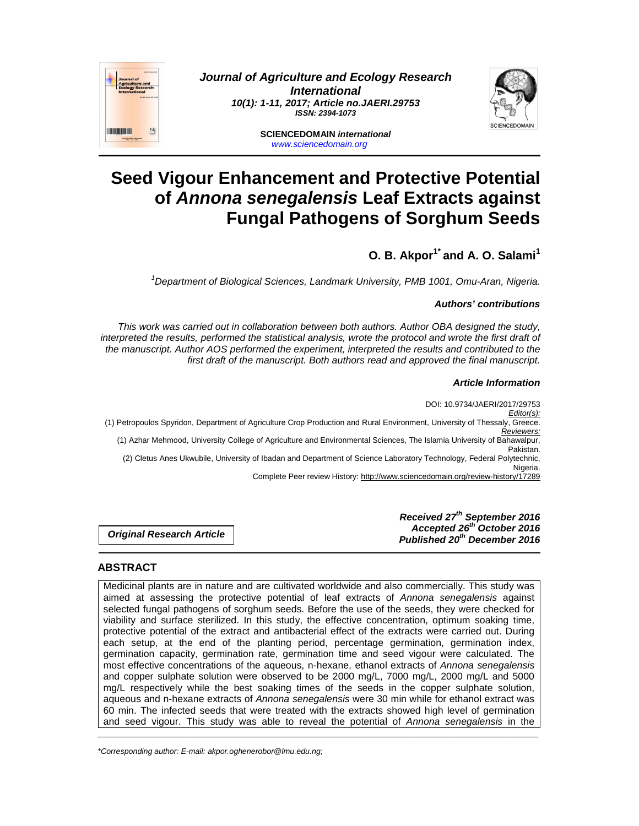

**Journal of Agriculture and Ecology Research International 10(1): 1-11, 2017; Article no.JAERI.29753 ISSN: 2394-1073** 



**SCIENCEDOMAIN international**  www.sciencedomain.org

# **Seed Vigour Enhancement and Protective Potential of Annona senegalensis Leaf Extracts against Fungal Pathogens of Sorghum Seeds**

# **O. B. Akpor1\* and A. O. Salami<sup>1</sup>**

<sup>1</sup>Department of Biological Sciences, Landmark University, PMB 1001, Omu-Aran, Nigeria.

# **Authors' contributions**

This work was carried out in collaboration between both authors. Author OBA designed the study, interpreted the results, performed the statistical analysis, wrote the protocol and wrote the first draft of the manuscript. Author AOS performed the experiment, interpreted the results and contributed to the first draft of the manuscript. Both authors read and approved the final manuscript.

# **Article Information**

DOI: 10.9734/JAERI/2017/29753 Editor(s): (1) Petropoulos Spyridon, Department of Agriculture Crop Production and Rural Environment, University of Thessaly, Greece. Reviewers: (1) Azhar Mehmood, University College of Agriculture and Environmental Sciences, The Islamia University of Bahawalpur, Pakistan. (2) Cletus Anes Ukwubile, University of Ibadan and Department of Science Laboratory Technology, Federal Polytechnic, Nigeria. Complete Peer review History: http://www.sciencedomain.org/review-history/17289

**Original Research Article** 

**Received 27th September 2016 Accepted 26th October 2016 Published 20th December 2016**

# **ABSTRACT**

Medicinal plants are in nature and are cultivated worldwide and also commercially. This study was aimed at assessing the protective potential of leaf extracts of Annona senegalensis against selected fungal pathogens of sorghum seeds. Before the use of the seeds, they were checked for viability and surface sterilized. In this study, the effective concentration, optimum soaking time, protective potential of the extract and antibacterial effect of the extracts were carried out. During each setup, at the end of the planting period, percentage germination, germination index, germination capacity, germination rate, germination time and seed vigour were calculated. The most effective concentrations of the aqueous, n-hexane, ethanol extracts of Annona senegalensis and copper sulphate solution were observed to be 2000 mg/L, 7000 mg/L, 2000 mg/L and 5000 mg/L respectively while the best soaking times of the seeds in the copper sulphate solution, aqueous and n-hexane extracts of Annona senegalensis were 30 min while for ethanol extract was 60 min. The infected seeds that were treated with the extracts showed high level of germination and seed vigour. This study was able to reveal the potential of Annona senegalensis in the

\_\_\_\_\_\_\_\_\_\_\_\_\_\_\_\_\_\_\_\_\_\_\_\_\_\_\_\_\_\_\_\_\_\_\_\_\_\_\_\_\_\_\_\_\_\_\_\_\_\_\_\_\_\_\_\_\_\_\_\_\_\_\_\_\_\_\_\_\_\_\_\_\_\_\_\_\_\_\_\_\_\_\_\_\_\_\_\_\_\_\_\_\_\_\_\_\_\_\_\_\_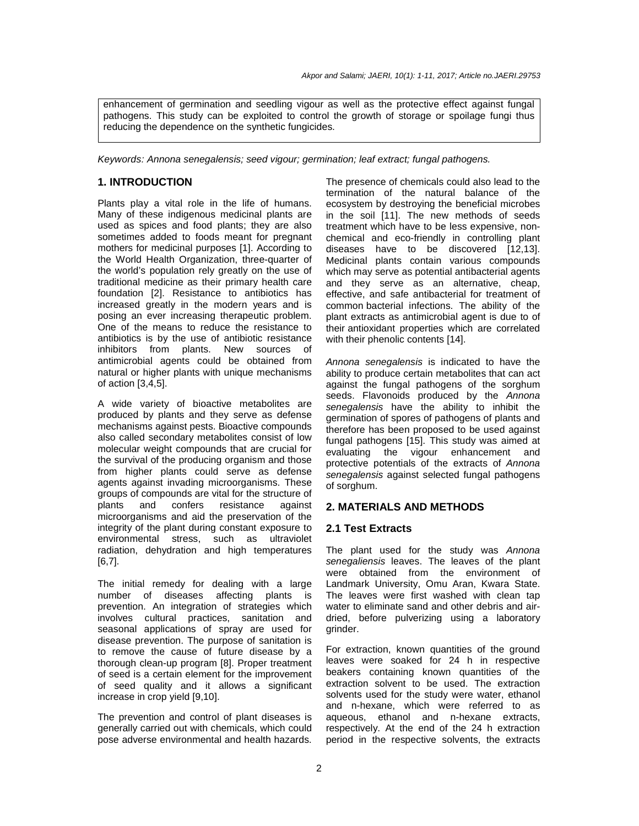enhancement of germination and seedling vigour as well as the protective effect against fungal pathogens. This study can be exploited to control the growth of storage or spoilage fungi thus reducing the dependence on the synthetic fungicides.

Keywords: Annona senegalensis; seed vigour; germination; leaf extract; fungal pathogens.

#### **1. INTRODUCTION**

Plants play a vital role in the life of humans. Many of these indigenous medicinal plants are used as spices and food plants; they are also sometimes added to foods meant for pregnant mothers for medicinal purposes [1]. According to the World Health Organization, three-quarter of the world's population rely greatly on the use of traditional medicine as their primary health care foundation [2]. Resistance to antibiotics has increased greatly in the modern years and is posing an ever increasing therapeutic problem. One of the means to reduce the resistance to antibiotics is by the use of antibiotic resistance inhibitors from plants. New sources of antimicrobial agents could be obtained from natural or higher plants with unique mechanisms of action [3,4,5].

A wide variety of bioactive metabolites are produced by plants and they serve as defense mechanisms against pests. Bioactive compounds also called secondary metabolites consist of low molecular weight compounds that are crucial for the survival of the producing organism and those from higher plants could serve as defense agents against invading microorganisms. These groups of compounds are vital for the structure of<br>plants and confers resistance against plants and confers resistance against microorganisms and aid the preservation of the integrity of the plant during constant exposure to environmental stress, such as ultraviolet radiation, dehydration and high temperatures [6,7].

The initial remedy for dealing with a large number of diseases affecting plants is prevention. An integration of strategies which involves cultural practices, sanitation and seasonal applications of spray are used for disease prevention. The purpose of sanitation is to remove the cause of future disease by a thorough clean-up program [8]. Proper treatment of seed is a certain element for the improvement of seed quality and it allows a significant increase in crop yield [9,10].

The prevention and control of plant diseases is generally carried out with chemicals, which could pose adverse environmental and health hazards. The presence of chemicals could also lead to the termination of the natural balance of the ecosystem by destroying the beneficial microbes in the soil [11]. The new methods of seeds treatment which have to be less expensive, nonchemical and eco-friendly in controlling plant diseases have to be discovered [12,13]. Medicinal plants contain various compounds which may serve as potential antibacterial agents and they serve as an alternative, cheap, effective, and safe antibacterial for treatment of common bacterial infections. The ability of the plant extracts as antimicrobial agent is due to of their antioxidant properties which are correlated with their phenolic contents [14].

Annona senegalensis is indicated to have the ability to produce certain metabolites that can act against the fungal pathogens of the sorghum seeds. Flavonoids produced by the Annona senegalensis have the ability to inhibit the germination of spores of pathogens of plants and therefore has been proposed to be used against fungal pathogens [15]. This study was aimed at evaluating the vigour enhancement and protective potentials of the extracts of Annona senegalensis against selected fungal pathogens of sorghum.

### **2. MATERIALS AND METHODS**

#### **2.1 Test Extracts**

The plant used for the study was Annona senegaliensis leaves. The leaves of the plant were obtained from the environment of Landmark University, Omu Aran, Kwara State. The leaves were first washed with clean tap water to eliminate sand and other debris and airdried, before pulverizing using a laboratory grinder.

For extraction, known quantities of the ground leaves were soaked for 24 h in respective beakers containing known quantities of the extraction solvent to be used. The extraction solvents used for the study were water, ethanol and n-hexane, which were referred to as aqueous, ethanol and n-hexane extracts, respectively. At the end of the 24 h extraction period in the respective solvents, the extracts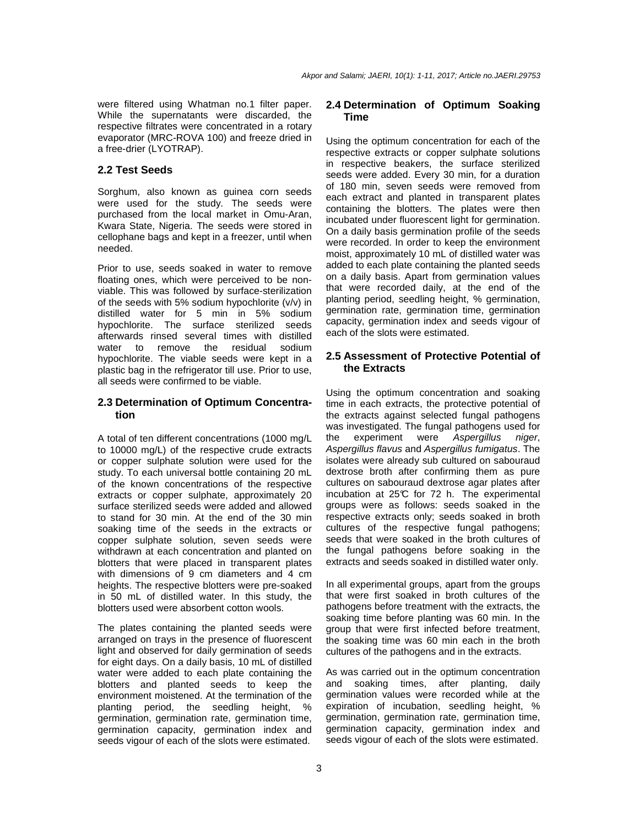were filtered using Whatman no.1 filter paper. While the supernatants were discarded, the respective filtrates were concentrated in a rotary evaporator (MRC-ROVA 100) and freeze dried in a free-drier (LYOTRAP).

#### **2.2 Test Seeds**

Sorghum, also known as guinea corn seeds were used for the study. The seeds were purchased from the local market in Omu-Aran, Kwara State, Nigeria. The seeds were stored in cellophane bags and kept in a freezer, until when needed.

Prior to use, seeds soaked in water to remove floating ones, which were perceived to be nonviable. This was followed by surface-sterilization of the seeds with 5% sodium hypochlorite (v/v) in distilled water for 5 min in 5% sodium hypochlorite. The surface sterilized seeds afterwards rinsed several times with distilled water to remove the residual sodium hypochlorite. The viable seeds were kept in a plastic bag in the refrigerator till use. Prior to use, all seeds were confirmed to be viable.

# **2.3 Determination of Optimum Concentration**

A total of ten different concentrations (1000 mg/L to 10000 mg/L) of the respective crude extracts or copper sulphate solution were used for the study. To each universal bottle containing 20 mL of the known concentrations of the respective extracts or copper sulphate, approximately 20 surface sterilized seeds were added and allowed to stand for 30 min. At the end of the 30 min soaking time of the seeds in the extracts or copper sulphate solution, seven seeds were withdrawn at each concentration and planted on blotters that were placed in transparent plates with dimensions of 9 cm diameters and 4 cm heights. The respective blotters were pre-soaked in 50 mL of distilled water. In this study, the blotters used were absorbent cotton wools.

The plates containing the planted seeds were arranged on trays in the presence of fluorescent light and observed for daily germination of seeds for eight days. On a daily basis, 10 mL of distilled water were added to each plate containing the blotters and planted seeds to keep the environment moistened. At the termination of the planting period, the seedling height, % germination, germination rate, germination time, germination capacity, germination index and seeds vigour of each of the slots were estimated.

# **2.4 Determination of Optimum Soaking Time**

Using the optimum concentration for each of the respective extracts or copper sulphate solutions in respective beakers, the surface sterilized seeds were added. Every 30 min, for a duration of 180 min, seven seeds were removed from each extract and planted in transparent plates containing the blotters. The plates were then incubated under fluorescent light for germination. On a daily basis germination profile of the seeds were recorded. In order to keep the environment moist, approximately 10 mL of distilled water was added to each plate containing the planted seeds on a daily basis. Apart from germination values that were recorded daily, at the end of the planting period, seedling height, % germination, germination rate, germination time, germination capacity, germination index and seeds vigour of each of the slots were estimated.

# **2.5 Assessment of Protective Potential of the Extracts**

Using the optimum concentration and soaking time in each extracts, the protective potential of the extracts against selected fungal pathogens was investigated. The fungal pathogens used for the experiment were Aspergillus niger, Aspergillus flavus and Aspergillus fumigatus. The isolates were already sub cultured on sabouraud dextrose broth after confirming them as pure cultures on sabouraud dextrose agar plates after incubation at 25°C for 72 h. The experimental groups were as follows: seeds soaked in the respective extracts only; seeds soaked in broth cultures of the respective fungal pathogens; seeds that were soaked in the broth cultures of the fungal pathogens before soaking in the extracts and seeds soaked in distilled water only.

In all experimental groups, apart from the groups that were first soaked in broth cultures of the pathogens before treatment with the extracts, the soaking time before planting was 60 min. In the group that were first infected before treatment, the soaking time was 60 min each in the broth cultures of the pathogens and in the extracts.

As was carried out in the optimum concentration and soaking times, after planting, daily germination values were recorded while at the expiration of incubation, seedling height, % germination, germination rate, germination time, germination capacity, germination index and seeds vigour of each of the slots were estimated.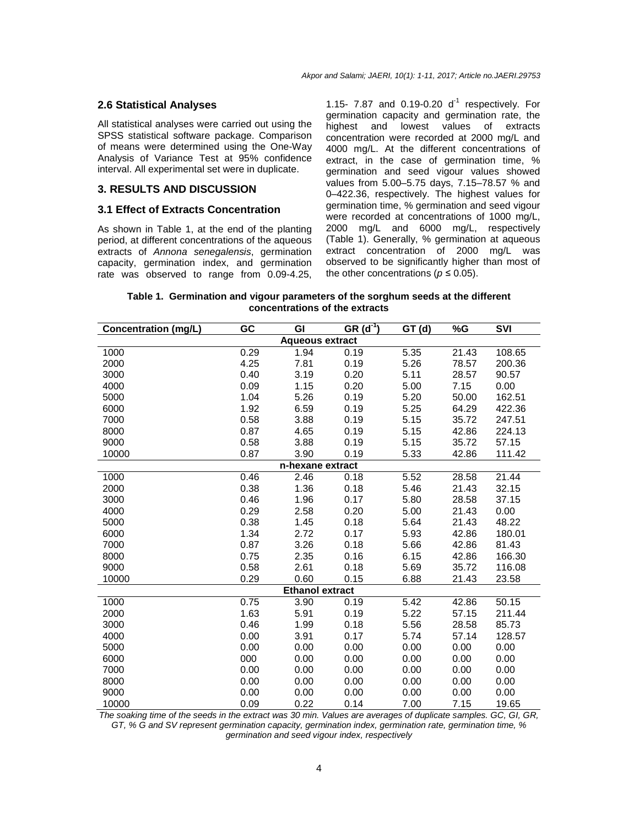#### **2.6 Statistical Analyses**

All statistical analyses were carried out using the SPSS statistical software package. Comparison of means were determined using the One-Way Analysis of Variance Test at 95% confidence interval. All experimental set were in duplicate.

#### **3. RESULTS AND DISCUSSION**

#### **3.1 Effect of Extracts Concentration**

As shown in Table 1, at the end of the planting period, at different concentrations of the aqueous extracts of Annona senegalensis, germination capacity, germination index, and germination rate was observed to range from 0.09-4.25, 1.15-  $7.87$  and 0.19-0.20  $d^{-1}$  respectively. For germination capacity and germination rate, the highest and lowest values of extracts concentration were recorded at 2000 mg/L and 4000 mg/L. At the different concentrations of extract, in the case of germination time, % germination and seed vigour values showed values from 5.00–5.75 days, 7.15–78.57 % and 0–422.36, respectively. The highest values for germination time, % germination and seed vigour were recorded at concentrations of 1000 mg/L, 2000 mg/L and 6000 mg/L, respectively (Table 1). Generally, % germination at aqueous extract concentration of 2000 mg/L was observed to be significantly higher than most of the other concentrations ( $p \le 0.05$ ).

**Table 1. Germination and vigour parameters of the sorghum seeds at the different concentrations of the extracts**

| <b>Concentration (mg/L)</b> | GC   | GI               | $GR(\overline{d^{\prime}})$ | GT(d) | %G    | <b>SVI</b> |  |
|-----------------------------|------|------------------|-----------------------------|-------|-------|------------|--|
| <b>Aqueous extract</b>      |      |                  |                             |       |       |            |  |
| 1000                        | 0.29 | 1.94             | 0.19                        | 5.35  | 21.43 | 108.65     |  |
| 2000                        | 4.25 | 7.81             | 0.19                        | 5.26  | 78.57 | 200.36     |  |
| 3000                        | 0.40 | 3.19             | 0.20                        | 5.11  | 28.57 | 90.57      |  |
| 4000                        | 0.09 | 1.15             | 0.20                        | 5.00  | 7.15  | 0.00       |  |
| 5000                        | 1.04 | 5.26             | 0.19                        | 5.20  | 50.00 | 162.51     |  |
| 6000                        | 1.92 | 6.59             | 0.19                        | 5.25  | 64.29 | 422.36     |  |
| 7000                        | 0.58 | 3.88             | 0.19                        | 5.15  | 35.72 | 247.51     |  |
| 8000                        | 0.87 | 4.65             | 0.19                        | 5.15  | 42.86 | 224.13     |  |
| 9000                        | 0.58 | 3.88             | 0.19                        | 5.15  | 35.72 | 57.15      |  |
| 10000                       | 0.87 | 3.90             | 0.19                        | 5.33  | 42.86 | 111.42     |  |
|                             |      | n-hexane extract |                             |       |       |            |  |
| 1000                        | 0.46 | 2.46             | 0.18                        | 5.52  | 28.58 | 21.44      |  |
| 2000                        | 0.38 | 1.36             | 0.18                        | 5.46  | 21.43 | 32.15      |  |
| 3000                        | 0.46 | 1.96             | 0.17                        | 5.80  | 28.58 | 37.15      |  |
| 4000                        | 0.29 | 2.58             | 0.20                        | 5.00  | 21.43 | 0.00       |  |
| 5000                        | 0.38 | 1.45             | 0.18                        | 5.64  | 21.43 | 48.22      |  |
| 6000                        | 1.34 | 2.72             | 0.17                        | 5.93  | 42.86 | 180.01     |  |
| 7000                        | 0.87 | 3.26             | 0.18                        | 5.66  | 42.86 | 81.43      |  |
| 8000                        | 0.75 | 2.35             | 0.16                        | 6.15  | 42.86 | 166.30     |  |
| 9000                        | 0.58 | 2.61             | 0.18                        | 5.69  | 35.72 | 116.08     |  |
| 10000                       | 0.29 | 0.60             | 0.15                        | 6.88  | 21.43 | 23.58      |  |
| <b>Ethanol extract</b>      |      |                  |                             |       |       |            |  |
| 1000                        | 0.75 | 3.90             | 0.19                        | 5.42  | 42.86 | 50.15      |  |
| 2000                        | 1.63 | 5.91             | 0.19                        | 5.22  | 57.15 | 211.44     |  |
| 3000                        | 0.46 | 1.99             | 0.18                        | 5.56  | 28.58 | 85.73      |  |
| 4000                        | 0.00 | 3.91             | 0.17                        | 5.74  | 57.14 | 128.57     |  |
| 5000                        | 0.00 | 0.00             | 0.00                        | 0.00  | 0.00  | 0.00       |  |
| 6000                        | 000  | 0.00             | 0.00                        | 0.00  | 0.00  | 0.00       |  |
| 7000                        | 0.00 | 0.00             | 0.00                        | 0.00  | 0.00  | 0.00       |  |
| 8000                        | 0.00 | 0.00             | 0.00                        | 0.00  | 0.00  | 0.00       |  |
| 9000                        | 0.00 | 0.00             | 0.00                        | 0.00  | 0.00  | 0.00       |  |
| 10000                       | 0.09 | 0.22             | 0.14                        | 7.00  | 7.15  | 19.65      |  |

The soaking time of the seeds in the extract was 30 min. Values are averages of duplicate samples. GC, GI, GR, GT, % G and SV represent germination capacity, germination index, germination rate, germination time, % germination and seed vigour index, respectively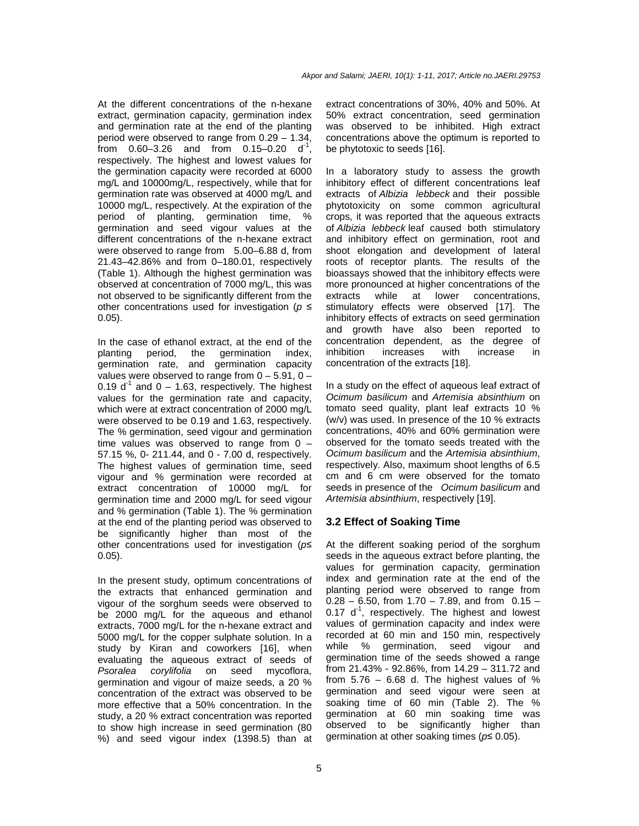At the different concentrations of the n-hexane extract, germination capacity, germination index and germination rate at the end of the planting period were observed to range from 0.29 – 1.34, from  $0.60 - 3.26$  and from  $0.15 - 0.20$  d<sup>-1</sup>, respectively. The highest and lowest values for the germination capacity were recorded at 6000 mg/L and 10000mg/L, respectively, while that for germination rate was observed at 4000 mg/L and 10000 mg/L, respectively. At the expiration of the period of planting, germination time, % germination and seed vigour values at the different concentrations of the n-hexane extract were observed to range from 5.00–6.88 d, from 21.43–42.86% and from 0–180.01, respectively (Table 1). Although the highest germination was observed at concentration of 7000 mg/L, this was not observed to be significantly different from the other concentrations used for investigation ( $p \leq$ 0.05).

In the case of ethanol extract, at the end of the planting period, the germination index, germination rate, and germination capacity values were observed to range from  $0 - 5.91$ ,  $0 -$ 0.19  $d^1$  and 0 – 1.63, respectively. The highest values for the germination rate and capacity, which were at extract concentration of 2000 mg/L were observed to be 0.19 and 1.63, respectively. The % germination, seed vigour and germination time values was observed to range from  $0 -$ 57.15 %, 0- 211.44, and 0 - 7.00 d, respectively. The highest values of germination time, seed vigour and % germination were recorded at extract concentration of 10000 mg/L for germination time and 2000 mg/L for seed vigour and % germination (Table 1). The % germination at the end of the planting period was observed to be significantly higher than most of the other concentrations used for investigation ( $p$ 0.05).

In the present study, optimum concentrations of the extracts that enhanced germination and vigour of the sorghum seeds were observed to be 2000 mg/L for the aqueous and ethanol extracts, 7000 mg/L for the n-hexane extract and 5000 mg/L for the copper sulphate solution. In a study by Kiran and coworkers [16], when evaluating the aqueous extract of seeds of Psoralea corylifolia on seed mycoflora, germination and vigour of maize seeds, a 20 % concentration of the extract was observed to be more effective that a 50% concentration. In the study, a 20 % extract concentration was reported to show high increase in seed germination (80 %) and seed vigour index (1398.5) than at extract concentrations of 30%, 40% and 50%. At 50% extract concentration, seed germination was observed to be inhibited. High extract concentrations above the optimum is reported to be phytotoxic to seeds [16].

In a laboratory study to assess the growth inhibitory effect of different concentrations leaf extracts of Albizia lebbeck and their possible phytotoxicity on some common agricultural crops, it was reported that the aqueous extracts of Albizia lebbeck leaf caused both stimulatory and inhibitory effect on germination, root and shoot elongation and development of lateral roots of receptor plants. The results of the bioassays showed that the inhibitory effects were more pronounced at higher concentrations of the extracts while at lower concentrations, stimulatory effects were observed [17]. The inhibitory effects of extracts on seed germination and growth have also been reported to concentration dependent, as the degree of inhibition increases with increase in concentration of the extracts [18].

In a study on the effect of aqueous leaf extract of Ocimum basilicum and Artemisia absinthium on tomato seed quality, plant leaf extracts 10 % (w/v) was used. In presence of the 10 % extracts concentrations, 40% and 60% germination were observed for the tomato seeds treated with the Ocimum basilicum and the Artemisia absinthium, respectively. Also, maximum shoot lengths of 6.5 cm and 6 cm were observed for the tomato seeds in presence of the Ocimum basilicum and Artemisia absinthium, respectively [19].

# **3.2 Effect of Soaking Time**

At the different soaking period of the sorghum seeds in the aqueous extract before planting, the values for germination capacity, germination index and germination rate at the end of the planting period were observed to range from  $0.28 - 6.50$ , from  $1.70 - 7.89$ , and from  $0.15 0.17$  d<sup>-1</sup>, respectively. The highest and lowest values of germination capacity and index were recorded at 60 min and 150 min, respectively while % germination, seed vigour and germination time of the seeds showed a range from 21.43% - 92.86%, from 14.29 – 311.72 and from  $5.76 - 6.68$  d. The highest values of % germination and seed vigour were seen at soaking time of 60 min (Table 2). The % germination at 60 min soaking time was observed to be significantly higher than germination at other soaking times ( $p \le 0.05$ ).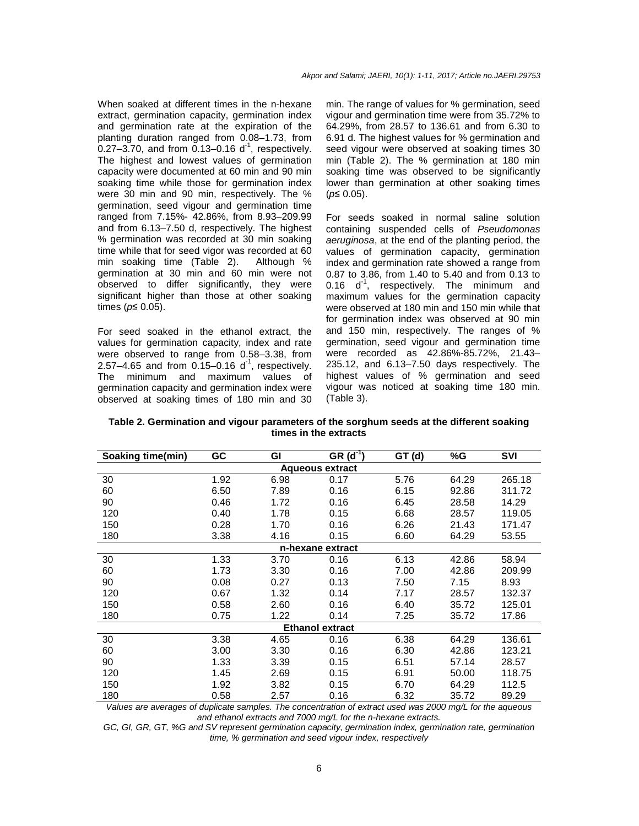When soaked at different times in the n-hexane extract, germination capacity, germination index and germination rate at the expiration of the planting duration ranged from 0.08–1.73, from  $0.27 - 3.70$ , and from  $0.13 - 0.16$  d<sup>-1</sup>, respectively. The highest and lowest values of germination capacity were documented at 60 min and 90 min soaking time while those for germination index were 30 min and 90 min, respectively. The % germination, seed vigour and germination time ranged from 7.15%- 42.86%, from 8.93–209.99 and from 6.13–7.50 d, respectively. The highest % germination was recorded at 30 min soaking time while that for seed vigor was recorded at 60 min soaking time (Table 2). Although % germination at 30 min and 60 min were not observed to differ significantly, they were significant higher than those at other soaking times ( $p≤ 0.05$ ).

For seed soaked in the ethanol extract, the values for germination capacity, index and rate were observed to range from 0.58–3.38, from 2.57–4.65 and from  $0.15-0.16$  d<sup>-1</sup>, respectively. The minimum and maximum values of germination capacity and germination index were observed at soaking times of 180 min and 30

min. The range of values for % germination, seed vigour and germination time were from 35.72% to 64.29%, from 28.57 to 136.61 and from 6.30 to 6.91 d. The highest values for % germination and seed vigour were observed at soaking times 30 min (Table 2). The % germination at 180 min soaking time was observed to be significantly lower than germination at other soaking times  $(p≤ 0.05)$ .

For seeds soaked in normal saline solution containing suspended cells of Pseudomonas aeruginosa, at the end of the planting period, the values of germination capacity, germination index and germination rate showed a range from 0.87 to 3.86, from 1.40 to 5.40 and from 0.13 to 0.16  $d^{-1}$ , respectively. The minimum and maximum values for the germination capacity were observed at 180 min and 150 min while that for germination index was observed at 90 min and 150 min, respectively. The ranges of % germination, seed vigour and germination time were recorded as 42.86%-85.72%, 21.43– 235.12, and 6.13–7.50 days respectively. The highest values of % germination and seed vigour was noticed at soaking time 180 min. (Table 3).

| Table 2. Germination and vigour parameters of the sorghum seeds at the different soaking |
|------------------------------------------------------------------------------------------|
| times in the extracts                                                                    |

| Soaking time(min)      | GC                             | GI                   | $GR (d^{-1})$ | GT(d) | %G                                                 | <b>SVI</b> |  |
|------------------------|--------------------------------|----------------------|---------------|-------|----------------------------------------------------|------------|--|
| <b>Aqueous extract</b> |                                |                      |               |       |                                                    |            |  |
| 30                     | 1.92                           | 6.98                 | 0.17          | 5.76  | 64.29                                              | 265.18     |  |
| 60                     | 6.50                           | 7.89                 | 0.16          | 6.15  | 92.86                                              | 311.72     |  |
| 90                     | 0.46                           | 1.72                 | 0.16          | 6.45  | 28.58                                              | 14.29      |  |
| 120                    | 0.40                           | 1.78                 | 0.15          | 6.68  | 28.57                                              | 119.05     |  |
| 150                    | 0.28                           | 1.70                 | 0.16          | 6.26  | 21.43                                              | 171.47     |  |
| 180                    | 3.38                           | 4.16                 | 0.15          | 6.60  | 64.29                                              | 53.55      |  |
| n-hexane extract       |                                |                      |               |       |                                                    |            |  |
| 30                     | 1.33                           | 3.70                 | 0.16          | 6.13  | 42.86                                              | 58.94      |  |
| 60                     | 1.73                           | 3.30                 | 0.16          | 7.00  | 42.86                                              | 209.99     |  |
| 90                     | 0.08                           | 0.27                 | 0.13          | 7.50  | 7.15                                               | 8.93       |  |
| 120                    | 0.67                           | 1.32                 | 0.14          | 7.17  | 28.57                                              | 132.37     |  |
| 150                    | 0.58                           | 2.60                 | 0.16          | 6.40  | 35.72                                              | 125.01     |  |
| 180                    | 0.75                           | 1.22                 | 0.14          | 7.25  | 35.72                                              | 17.86      |  |
| <b>Ethanol extract</b> |                                |                      |               |       |                                                    |            |  |
| 30                     | 3.38                           | 4.65                 | 0.16          | 6.38  | 64.29                                              | 136.61     |  |
| 60                     | 3.00                           | 3.30                 | 0.16          | 6.30  | 42.86                                              | 123.21     |  |
| 90                     | 1.33                           | 3.39                 | 0.15          | 6.51  | 57.14                                              | 28.57      |  |
| 120                    | 1.45                           | 2.69                 | 0.15          | 6.91  | 50.00                                              | 118.75     |  |
| 150                    | 1.92                           | 3.82                 | 0.15          | 6.70  | 64.29                                              | 112.5      |  |
| 180<br>1.7.7           | 0.58<br>$\mathbf{r}$ . The set | 2.57<br>$\mathbf{r}$ | 0.16          | 6.32  | 35.72<br>$\theta$ $\theta$ $\theta$<br><b>0000</b> | 89.29      |  |

Values are averages of duplicate samples. The concentration of extract used was 2000 mg/L for the aqueous and ethanol extracts and 7000 mg/L for the n-hexane extracts.

GC, GI, GR, GT, %G and SV represent germination capacity, germination index, germination rate, germination time, % germination and seed vigour index, respectively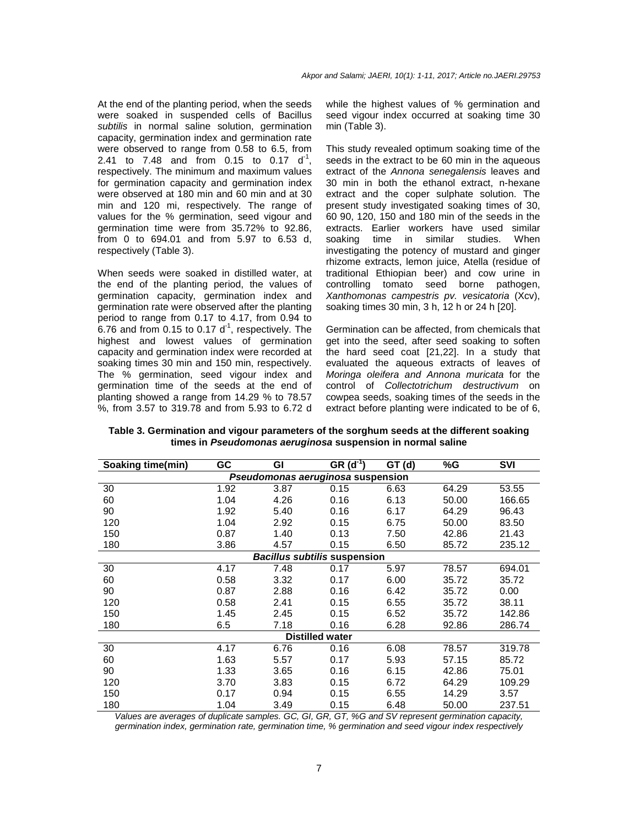At the end of the planting period, when the seeds were soaked in suspended cells of Bacillus subtilis in normal saline solution, germination capacity, germination index and germination rate were observed to range from 0.58 to 6.5, from 2.41 to 7.48 and from 0.15 to 0.17  $d^{-1}$ , respectively. The minimum and maximum values for germination capacity and germination index were observed at 180 min and 60 min and at 30 min and 120 mi, respectively. The range of values for the % germination, seed vigour and germination time were from 35.72% to 92.86, from 0 to 694.01 and from 5.97 to 6.53 d, respectively (Table 3).

When seeds were soaked in distilled water, at the end of the planting period, the values of germination capacity, germination index and germination rate were observed after the planting period to range from 0.17 to 4.17, from 0.94 to 6.76 and from 0.15 to 0.17  $d<sup>-1</sup>$ , respectively. The highest and lowest values of germination capacity and germination index were recorded at soaking times 30 min and 150 min, respectively. The % germination, seed vigour index and germination time of the seeds at the end of planting showed a range from 14.29 % to 78.57 %, from 3.57 to 319.78 and from 5.93 to 6.72 d

while the highest values of % germination and seed vigour index occurred at soaking time 30 min (Table 3).

This study revealed optimum soaking time of the seeds in the extract to be 60 min in the aqueous extract of the Annona senegalensis leaves and 30 min in both the ethanol extract, n-hexane extract and the coper sulphate solution. The present study investigated soaking times of 30, 60 90, 120, 150 and 180 min of the seeds in the extracts. Earlier workers have used similar soaking time in similar studies. When investigating the potency of mustard and ginger rhizome extracts, lemon juice, Atella (residue of traditional Ethiopian beer) and cow urine in controlling tomato seed borne pathogen, Xanthomonas campestris pv. vesicatoria (Xcv), soaking times 30 min, 3 h, 12 h or 24 h [20].

Germination can be affected, from chemicals that get into the seed, after seed soaking to soften the hard seed coat [21,22]. In a study that evaluated the aqueous extracts of leaves of Moringa oleifera and Annona muricata for the control of Collectotrichum destructivum on cowpea seeds, soaking times of the seeds in the extract before planting were indicated to be of 6,

**Table 3. Germination and vigour parameters of the sorghum seeds at the different soaking times in Pseudomonas aeruginosa suspension in normal saline** 

| Soaking time(min)                 | GC   | GI   | $GR (d^{-1})$                       | GT(d) | %G    | <b>SVI</b> |  |
|-----------------------------------|------|------|-------------------------------------|-------|-------|------------|--|
| Pseudomonas aeruginosa suspension |      |      |                                     |       |       |            |  |
| 30                                | 1.92 | 3.87 | 0.15                                | 6.63  | 64.29 | 53.55      |  |
| 60                                | 1.04 | 4.26 | 0.16                                | 6.13  | 50.00 | 166.65     |  |
| 90                                | 1.92 | 5.40 | 0.16                                | 6.17  | 64.29 | 96.43      |  |
| 120                               | 1.04 | 2.92 | 0.15                                | 6.75  | 50.00 | 83.50      |  |
| 150                               | 0.87 | 1.40 | 0.13                                | 7.50  | 42.86 | 21.43      |  |
| 180                               | 3.86 | 4.57 | 0.15                                | 6.50  | 85.72 | 235.12     |  |
|                                   |      |      | <b>Bacillus subtilis suspension</b> |       |       |            |  |
| 30                                | 4.17 | 7.48 | 0.17                                | 5.97  | 78.57 | 694.01     |  |
| 60                                | 0.58 | 3.32 | 0.17                                | 6.00  | 35.72 | 35.72      |  |
| 90                                | 0.87 | 2.88 | 0.16                                | 6.42  | 35.72 | 0.00       |  |
| 120                               | 0.58 | 2.41 | 0.15                                | 6.55  | 35.72 | 38.11      |  |
| 150                               | 1.45 | 2.45 | 0.15                                | 6.52  | 35.72 | 142.86     |  |
| 180                               | 6.5  | 7.18 | 0.16                                | 6.28  | 92.86 | 286.74     |  |
| <b>Distilled water</b>            |      |      |                                     |       |       |            |  |
| 30                                | 4.17 | 6.76 | 0.16                                | 6.08  | 78.57 | 319.78     |  |
| 60                                | 1.63 | 5.57 | 0.17                                | 5.93  | 57.15 | 85.72      |  |
| 90                                | 1.33 | 3.65 | 0.16                                | 6.15  | 42.86 | 75.01      |  |
| 120                               | 3.70 | 3.83 | 0.15                                | 6.72  | 64.29 | 109.29     |  |
| 150                               | 0.17 | 0.94 | 0.15                                | 6.55  | 14.29 | 3.57       |  |
| 180                               | 1.04 | 3.49 | 0.15                                | 6.48  | 50.00 | 237.51     |  |

Values are averages of duplicate samples. GC, GI, GR, GT, %G and SV represent germination capacity, germination index, germination rate, germination time, % germination and seed vigour index respectively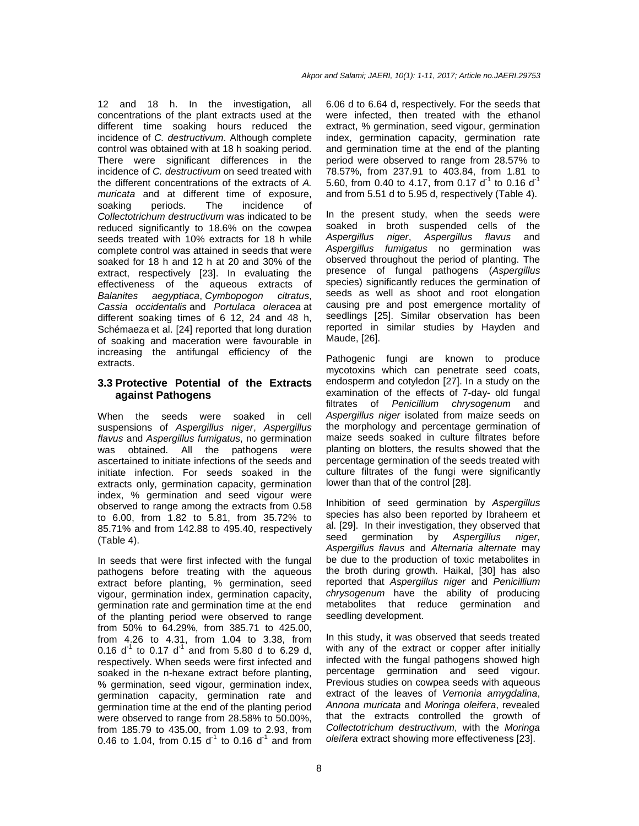12 and 18 h. In the investigation, all concentrations of the plant extracts used at the different time soaking hours reduced the incidence of C. destructivum. Although complete control was obtained with at 18 h soaking period. There were significant differences in the incidence of C. destructivum on seed treated with the different concentrations of the extracts of A. muricata and at different time of exposure, soaking periods. The incidence of Collectotrichum destructivum was indicated to be reduced significantly to 18.6% on the cowpea seeds treated with 10% extracts for 18 h while complete control was attained in seeds that were soaked for 18 h and 12 h at 20 and 30% of the extract, respectively [23]. In evaluating the effectiveness of the aqueous extracts of Balanites aegyptiaca, Cymbopogon citratus, Cassia occidentalis and Portulaca oleracea at different soaking times of 6 12, 24 and 48 h, Schémaeza et al. [24] reported that long duration of soaking and maceration were favourable in increasing the antifungal efficiency of the extracts.

### **3.3 Protective Potential of the Extracts against Pathogens**

When the seeds were soaked in cell suspensions of Aspergillus niger, Aspergillus flavus and Aspergillus fumigatus, no germination was obtained. All the pathogens were ascertained to initiate infections of the seeds and initiate infection. For seeds soaked in the extracts only, germination capacity, germination index, % germination and seed vigour were observed to range among the extracts from 0.58 to 6.00, from 1.82 to 5.81, from 35.72% to 85.71% and from 142.88 to 495.40, respectively (Table 4).

In seeds that were first infected with the fungal pathogens before treating with the aqueous extract before planting, % germination, seed vigour, germination index, germination capacity, germination rate and germination time at the end of the planting period were observed to range from 50% to 64.29%, from 385.71 to 425.00, from 4.26 to 4.31, from 1.04 to 3.38, from 0.16  $d^{-1}$  to 0.17  $d^{-1}$  and from 5.80 d to 6.29 d, respectively. When seeds were first infected and soaked in the n-hexane extract before planting, % germination, seed vigour, germination index, germination capacity, germination rate and germination time at the end of the planting period were observed to range from 28.58% to 50.00%, from 185.79 to 435.00, from 1.09 to 2.93, from 0.46 to 1.04, from 0.15  $d^{-1}$  to 0.16  $d^{-1}$  and from 6.06 d to 6.64 d, respectively. For the seeds that were infected, then treated with the ethanol extract, % germination, seed vigour, germination index, germination capacity, germination rate and germination time at the end of the planting period were observed to range from 28.57% to 78.57%, from 237.91 to 403.84, from 1.81 to 5.60, from 0.40 to 4.17, from 0.17  $d^{-1}$  to 0.16  $d^{-1}$ and from 5.51 d to 5.95 d, respectively (Table 4).

In the present study, when the seeds were soaked in broth suspended cells of the Aspergillus niger, Aspergillus flavus and Aspergillus fumigatus no germination was observed throughout the period of planting. The presence of fungal pathogens (Aspergillus species) significantly reduces the germination of seeds as well as shoot and root elongation causing pre and post emergence mortality of seedlings [25]. Similar observation has been reported in similar studies by Hayden and Maude, [26].

Pathogenic fungi are known to produce mycotoxins which can penetrate seed coats, endosperm and cotyledon [27]. In a study on the examination of the effects of 7-day- old fungal filtrates of Penicillium chrysogenum and Aspergillus niger isolated from maize seeds on the morphology and percentage germination of maize seeds soaked in culture filtrates before planting on blotters, the results showed that the percentage germination of the seeds treated with culture filtrates of the fungi were significantly lower than that of the control [28].

Inhibition of seed germination by Aspergillus species has also been reported by Ibraheem et al. [29]. In their investigation, they observed that seed germination by Aspergillus niger, Aspergillus flavus and Alternaria alternate may be due to the production of toxic metabolites in the broth during growth. Haikal, [30] has also reported that Aspergillus niger and Penicillium chrysogenum have the ability of producing metabolites that reduce germination and seedling development.

In this study, it was observed that seeds treated with any of the extract or copper after initially infected with the fungal pathogens showed high percentage germination and seed vigour. Previous studies on cowpea seeds with aqueous extract of the leaves of Vernonia amygdalina, Annona muricata and Moringa oleifera, revealed that the extracts controlled the growth of Collectotrichum destructivum, with the Moringa oleifera extract showing more effectiveness [23].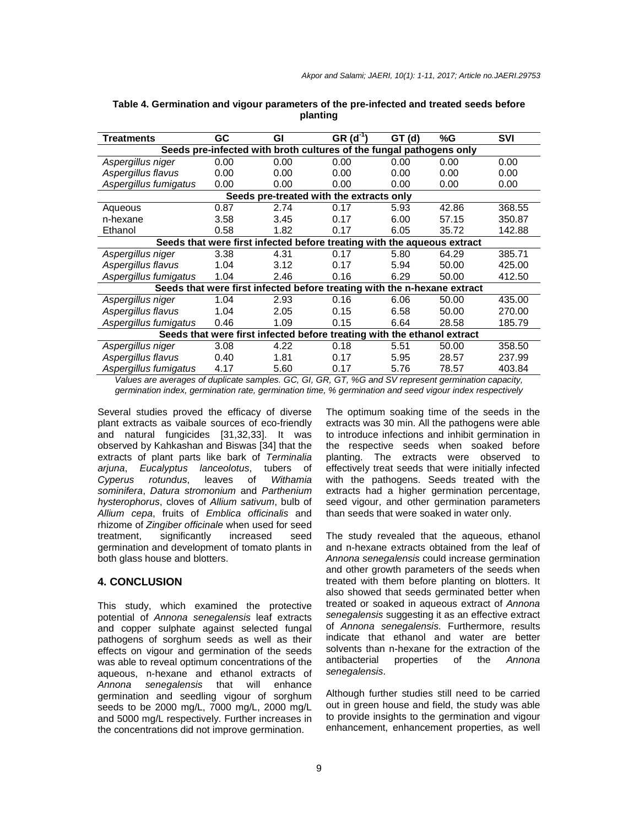| Treatments                                                               | GC   | Gl   | $GR(d-1)$                                | GТ<br>(d) | %G    | <b>SVI</b> |  |
|--------------------------------------------------------------------------|------|------|------------------------------------------|-----------|-------|------------|--|
| Seeds pre-infected with broth cultures of the fungal pathogens only      |      |      |                                          |           |       |            |  |
| Aspergillus niger                                                        | 0.00 | 0.00 | 0.00                                     | 0.00      | 0.00  | 0.00       |  |
| Aspergillus flavus                                                       | 0.00 | 0.00 | 0.00                                     | 0.00      | 0.00  | 0.00       |  |
| Aspergillus fumigatus                                                    | 0.00 | 0.00 | 0.00                                     | 0.00      | 0.00  | 0.00       |  |
|                                                                          |      |      | Seeds pre-treated with the extracts only |           |       |            |  |
| Aqueous                                                                  | 0.87 | 2.74 | 0.17                                     | 5.93      | 42.86 | 368.55     |  |
| n-hexane                                                                 | 3.58 | 3.45 | 0.17                                     | 6.00      | 57.15 | 350.87     |  |
| Ethanol                                                                  | 0.58 | 1.82 | 0.17                                     | 6.05      | 35.72 | 142.88     |  |
| Seeds that were first infected before treating with the aqueous extract  |      |      |                                          |           |       |            |  |
| Aspergillus niger                                                        | 3.38 | 4.31 | 0.17                                     | 5.80      | 64.29 | 385.71     |  |
| Aspergillus flavus                                                       | 1.04 | 3.12 | 0.17                                     | 5.94      | 50.00 | 425.00     |  |
| Aspergillus fumigatus                                                    | 1.04 | 2.46 | 0.16                                     | 6.29      | 50.00 | 412.50     |  |
| Seeds that were first infected before treating with the n-hexane extract |      |      |                                          |           |       |            |  |
| Aspergillus niger                                                        | 1.04 | 2.93 | 0.16                                     | 6.06      | 50.00 | 435.00     |  |
| Aspergillus flavus                                                       | 1.04 | 2.05 | 0.15                                     | 6.58      | 50.00 | 270.00     |  |
| Aspergillus fumigatus                                                    | 0.46 | 1.09 | 0.15                                     | 6.64      | 28.58 | 185.79     |  |
| Seeds that were first infected before treating with the ethanol extract  |      |      |                                          |           |       |            |  |
| Aspergillus niger                                                        | 3.08 | 4.22 | 0.18                                     | 5.51      | 50.00 | 358.50     |  |
| Aspergillus flavus                                                       | 0.40 | 1.81 | 0.17                                     | 5.95      | 28.57 | 237.99     |  |
| Aspergillus fumigatus                                                    | 4.17 | 5.60 | 0.17                                     | 5.76      | 78.57 | 403.84     |  |

#### **Table 4. Germination and vigour parameters of the pre-infected and treated seeds before planting**

Values are averages of duplicate samples. GC, GI, GR, GT, %G and SV represent germination capacity, germination index, germination rate, germination time, % germination and seed vigour index respectively

Several studies proved the efficacy of diverse plant extracts as vaibale sources of eco-friendly and natural fungicides [31,32,33]. It was observed by Kahkashan and Biswas [34] that the extracts of plant parts like bark of Terminalia arjuna, Eucalyptus lanceolotus, tubers of Cyperus rotundus, leaves of Withamia sominifera, Datura stromonium and Parthenium hysterophorus, cloves of Allium sativum, bulb of Allium cepa, fruits of Emblica officinalis and rhizome of Zingiber officinale when used for seed treatment, significantly increased seed germination and development of tomato plants in both glass house and blotters.

#### **4. CONCLUSION**

This study, which examined the protective potential of Annona senegalensis leaf extracts and copper sulphate against selected fungal pathogens of sorghum seeds as well as their effects on vigour and germination of the seeds was able to reveal optimum concentrations of the aqueous, n-hexane and ethanol extracts of Annona senegalensis that will enhance germination and seedling vigour of sorghum seeds to be 2000 mg/L, 7000 mg/L, 2000 mg/L and 5000 mg/L respectively. Further increases in the concentrations did not improve germination.

The optimum soaking time of the seeds in the extracts was 30 min. All the pathogens were able to introduce infections and inhibit germination in the respective seeds when soaked before planting. The extracts were observed to effectively treat seeds that were initially infected with the pathogens. Seeds treated with the extracts had a higher germination percentage, seed vigour, and other germination parameters than seeds that were soaked in water only.

The study revealed that the aqueous, ethanol and n-hexane extracts obtained from the leaf of Annona senegalensis could increase germination and other growth parameters of the seeds when treated with them before planting on blotters. It also showed that seeds germinated better when treated or soaked in aqueous extract of Annona senegalensis suggesting it as an effective extract of Annona senegalensis. Furthermore, results indicate that ethanol and water are better solvents than n-hexane for the extraction of the antibacterial properties of the Annona senegalensis.

Although further studies still need to be carried out in green house and field, the study was able to provide insights to the germination and vigour enhancement, enhancement properties, as well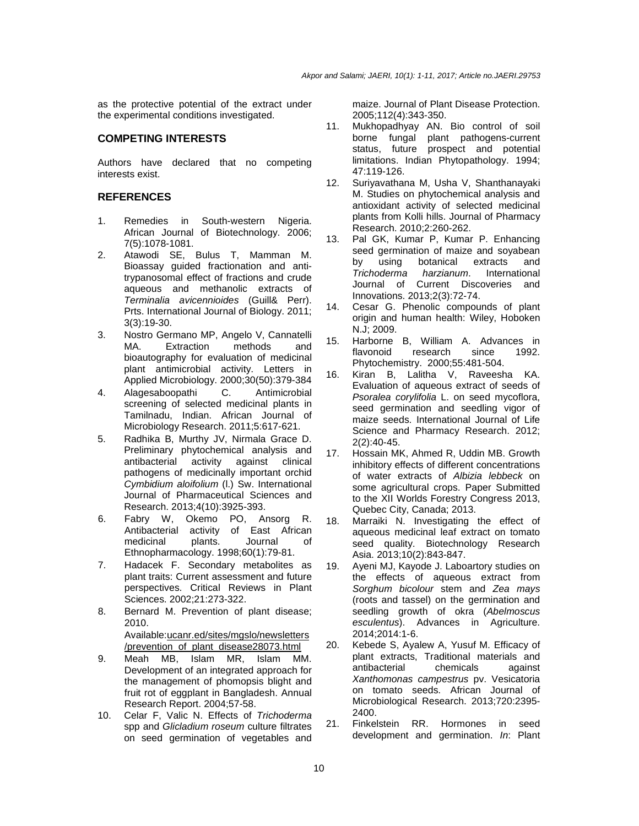as the protective potential of the extract under the experimental conditions investigated.

# **COMPETING INTERESTS**

Authors have declared that no competing interests exist.

# **REFERENCES**

- 1. Remedies in South-western Nigeria. African Journal of Biotechnology. 2006; 7(5):1078-1081.
- 2. Atawodi SE, Bulus T, Mamman M. Bioassay guided fractionation and antitrypanosomal effect of fractions and crude aqueous and methanolic extracts of Terminalia avicennioides (Guill& Perr). Prts. International Journal of Biology. 2011; 3(3):19-30.
- 3. Nostro Germano MP, Angelo V, Cannatelli MA. Extraction methods and bioautography for evaluation of medicinal plant antimicrobial activity. Letters in Applied Microbiology. 2000;30(50):379-384
- 4. Alagesaboopathi C. Antimicrobial screening of selected medicinal plants in Tamilnadu, Indian. African Journal of Microbiology Research. 2011;5:617-621.
- 5. Radhika B, Murthy JV, Nirmala Grace D. Preliminary phytochemical analysis and antibacterial activity against clinical pathogens of medicinally important orchid Cymbidium aloifolium (l.) Sw. International Journal of Pharmaceutical Sciences and Research. 2013;4(10):3925-393.
- 6. Fabry W, Okemo PO, Ansorg R. Antibacterial activity of East African medicinal plants. Journal of Ethnopharmacology. 1998;60(1):79-81.
- 7. Hadacek F. Secondary metabolites as plant traits: Current assessment and future perspectives. Critical Reviews in Plant Sciences. 2002;21:273-322.
- 8. Bernard M. Prevention of plant disease; 2010. Available:ucanr.ed/sites/mgslo/newsletters

/prevention\_of\_plant\_disease28073.html

- 9. Meah MB, Islam MR, Islam MM. Development of an integrated approach for the management of phomopsis blight and fruit rot of eggplant in Bangladesh. Annual Research Report. 2004;57-58.
- 10. Celar F, Valic N. Effects of Trichoderma spp and Glicladium roseum culture filtrates on seed germination of vegetables and

maize. Journal of Plant Disease Protection. 2005;112(4):343-350.

- 11. Mukhopadhyay AN. Bio control of soil borne fungal plant pathogens-current status, future prospect and potential limitations. Indian Phytopathology. 1994; 47:119-126.
- 12. Suriyavathana M, Usha V, Shanthanayaki M. Studies on phytochemical analysis and antioxidant activity of selected medicinal plants from Kolli hills. Journal of Pharmacy Research. 2010;2:260-262.
- 13. Pal GK, Kumar P, Kumar P. Enhancing seed germination of maize and soyabean by using botanical extracts and Trichoderma harzianum. International Journal of Current Discoveries and Innovations. 2013;2(3):72-74.
- 14. Cesar G. Phenolic compounds of plant origin and human health: Wiley, Hoboken N.J; 2009.
- 15. Harborne B, William A. Advances in flavonoid research since 1992. Phytochemistry. 2000;55:481-504.
- 16. Kiran B, Lalitha V, Raveesha KA. Evaluation of aqueous extract of seeds of Psoralea corylifolia L. on seed mycoflora, seed germination and seedling vigor of maize seeds. International Journal of Life Science and Pharmacy Research. 2012; 2(2):40-45.
- 17. Hossain MK, Ahmed R, Uddin MB. Growth inhibitory effects of different concentrations of water extracts of Albizia lebbeck on some agricultural crops. Paper Submitted to the XII Worlds Forestry Congress 2013, Quebec City, Canada; 2013.
- 18. Marraiki N. Investigating the effect of aqueous medicinal leaf extract on tomato seed quality. Biotechnology Research Asia. 2013;10(2):843-847.
- 19. Ayeni MJ, Kayode J. Laboartory studies on the effects of aqueous extract from Sorghum bicolour stem and Zea mays (roots and tassel) on the germination and seedling growth of okra (Abelmoscus esculentus). Advances in Agriculture. 2014;2014:1-6.
- 20. Kebede S, Ayalew A, Yusuf M. Efficacy of plant extracts, Traditional materials and antibacterial chemicals against Xanthomonas campestrus pv. Vesicatoria on tomato seeds. African Journal of Microbiological Research. 2013;720:2395- 2400.
- 21. Finkelstein RR. Hormones in seed development and germination. In: Plant